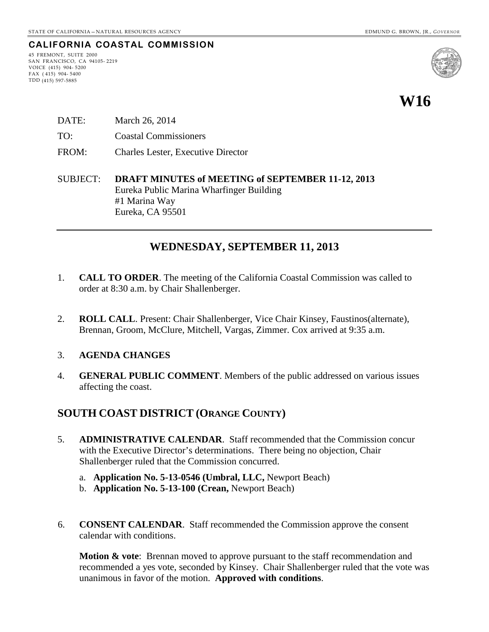## **CALIFORNIA COASTAL COMMISSION**

45 FREMONT, SUITE 2000 SAN FRANCISCO, CA 94105- 2219 VOICE (415) 904- 5200 FAX ( 415) 904- 5400 TDD (415) 597-5885



# **W16**

- DATE: March 26, 2014
- TO: Coastal Commissioners
- FROM: Charles Lester, Executive Director
- SUBJECT: **DRAFT MINUTES of MEETING of SEPTEMBER 11-12, 2013** Eureka Public Marina Wharfinger Building #1 Marina Way Eureka, CA 95501

## **WEDNESDAY, SEPTEMBER 11, 2013**

- 1. **CALL TO ORDER**. The meeting of the California Coastal Commission was called to order at 8:30 a.m. by Chair Shallenberger.
- 2. **ROLL CALL**. Present: Chair Shallenberger, Vice Chair Kinsey, Faustinos(alternate), Brennan, Groom, McClure, Mitchell, Vargas, Zimmer. Cox arrived at 9:35 a.m.

#### 3. **AGENDA CHANGES**

4. **GENERAL PUBLIC COMMENT**. Members of the public addressed on various issues affecting the coast.

## **SOUTH COAST DISTRICT (ORANGE COUNTY)**

- 5. **ADMINISTRATIVE CALENDAR**. Staff recommended that the Commission concur with the Executive Director's determinations. There being no objection, Chair Shallenberger ruled that the Commission concurred.
	- a. **Application No. 5-13-0546 (Umbral, LLC,** Newport Beach)
	- b. **Application No. 5-13-100 (Crean,** Newport Beach)
- 6. **CONSENT CALENDAR**. Staff recommended the Commission approve the consent calendar with conditions.

**Motion & vote**: Brennan moved to approve pursuant to the staff recommendation and recommended a yes vote, seconded by Kinsey. Chair Shallenberger ruled that the vote was unanimous in favor of the motion. **Approved with conditions**.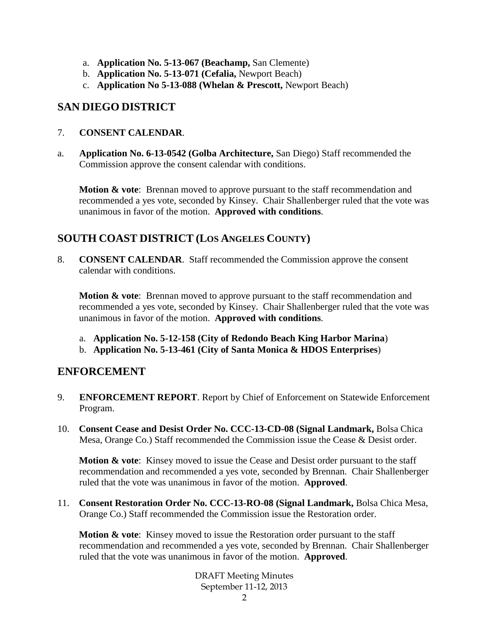- a. **Application No. 5-13-067 (Beachamp,** San Clemente)
- b. **Application No. 5-13-071 (Cefalia,** Newport Beach)
- c. **Application No 5-13-088 (Whelan & Prescott,** Newport Beach)

## **SAN DIEGO DISTRICT**

- 7. **CONSENT CALENDAR**.
- a. **Application No. 6-13-0542 (Golba Architecture,** San Diego) Staff recommended the Commission approve the consent calendar with conditions.

**Motion & vote:** Brennan moved to approve pursuant to the staff recommendation and recommended a yes vote, seconded by Kinsey. Chair Shallenberger ruled that the vote was unanimous in favor of the motion. **Approved with conditions**.

## **SOUTH COAST DISTRICT (LOS ANGELES COUNTY)**

8. **CONSENT CALENDAR**. Staff recommended the Commission approve the consent calendar with conditions.

**Motion & vote**: Brennan moved to approve pursuant to the staff recommendation and recommended a yes vote, seconded by Kinsey. Chair Shallenberger ruled that the vote was unanimous in favor of the motion. **Approved with conditions**.

- a. **Application No. 5-12-158 (City of Redondo Beach King Harbor Marina**)
- b. **Application No. 5-13-461 (City of Santa Monica & HDOS Enterprises**)

## **ENFORCEMENT**

- 9. **ENFORCEMENT REPORT**. Report by Chief of Enforcement on Statewide Enforcement Program.
- 10. **Consent Cease and Desist Order No. CCC-13-CD-08 (Signal Landmark,** Bolsa Chica Mesa, Orange Co.) Staff recommended the Commission issue the Cease & Desist order.

**Motion & vote:** Kinsey moved to issue the Cease and Desist order pursuant to the staff recommendation and recommended a yes vote, seconded by Brennan. Chair Shallenberger ruled that the vote was unanimous in favor of the motion. **Approved**.

11. **Consent Restoration Order No. CCC-13-RO-08 (Signal Landmark,** Bolsa Chica Mesa, Orange Co.) Staff recommended the Commission issue the Restoration order.

**Motion & vote:** Kinsey moved to issue the Restoration order pursuant to the staff recommendation and recommended a yes vote, seconded by Brennan. Chair Shallenberger ruled that the vote was unanimous in favor of the motion. **Approved**.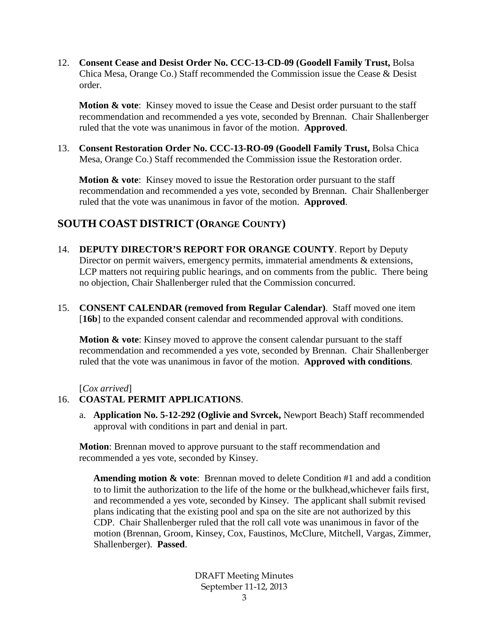12. **Consent Cease and Desist Order No. CCC-13-CD-09 (Goodell Family Trust,** Bolsa Chica Mesa, Orange Co.) Staff recommended the Commission issue the Cease & Desist order.

**Motion & vote**: Kinsey moved to issue the Cease and Desist order pursuant to the staff recommendation and recommended a yes vote, seconded by Brennan. Chair Shallenberger ruled that the vote was unanimous in favor of the motion. **Approved**.

13. **Consent Restoration Order No. CCC-13-RO-09 (Goodell Family Trust,** Bolsa Chica Mesa, Orange Co.) Staff recommended the Commission issue the Restoration order.

**Motion & vote**: Kinsey moved to issue the Restoration order pursuant to the staff recommendation and recommended a yes vote, seconded by Brennan. Chair Shallenberger ruled that the vote was unanimous in favor of the motion. **Approved**.

## **SOUTH COAST DISTRICT (ORANGE COUNTY)**

- 14. **DEPUTY DIRECTOR'S REPORT FOR ORANGE COUNTY**. Report by Deputy Director on permit waivers, emergency permits, immaterial amendments & extensions, LCP matters not requiring public hearings, and on comments from the public. There being no objection, Chair Shallenberger ruled that the Commission concurred.
- 15. **CONSENT CALENDAR (removed from Regular Calendar)**. Staff moved one item [16b] to the expanded consent calendar and recommended approval with conditions.

**Motion & vote:** Kinsey moved to approve the consent calendar pursuant to the staff recommendation and recommended a yes vote, seconded by Brennan. Chair Shallenberger ruled that the vote was unanimous in favor of the motion. **Approved with conditions**.

[*Cox arrived*]

#### 16. **COASTAL PERMIT APPLICATIONS**.

a. **Application No. 5-12-292 (Oglivie and Svrcek,** Newport Beach) Staff recommended approval with conditions in part and denial in part.

**Motion**: Brennan moved to approve pursuant to the staff recommendation and recommended a yes vote, seconded by Kinsey.

**Amending motion & vote**: Brennan moved to delete Condition #1 and add a condition to to limit the authorization to the life of the home or the bulkhead,whichever fails first, and recommended a yes vote, seconded by Kinsey. The applicant shall submit revised plans indicating that the existing pool and spa on the site are not authorized by this CDP. Chair Shallenberger ruled that the roll call vote was unanimous in favor of the motion (Brennan, Groom, Kinsey, Cox, Faustinos, McClure, Mitchell, Vargas, Zimmer, Shallenberger). **Passed**.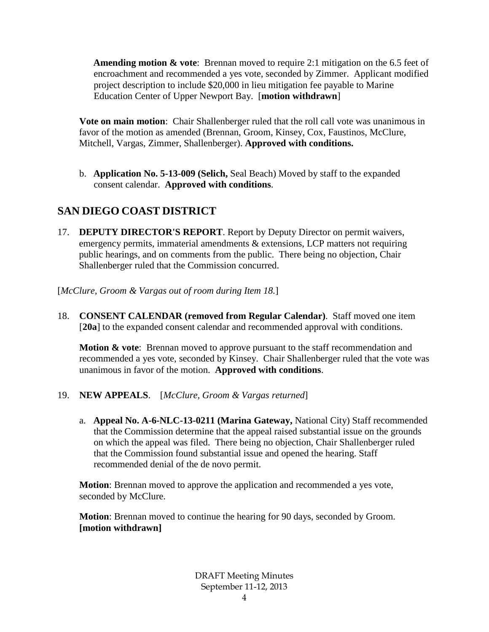**Amending motion & vote**: Brennan moved to require 2:1 mitigation on the 6.5 feet of encroachment and recommended a yes vote, seconded by Zimmer. Applicant modified project description to include \$20,000 in lieu mitigation fee payable to Marine Education Center of Upper Newport Bay. [**motion withdrawn**]

**Vote on main motion**: Chair Shallenberger ruled that the roll call vote was unanimous in favor of the motion as amended (Brennan, Groom, Kinsey, Cox, Faustinos, McClure, Mitchell, Vargas, Zimmer, Shallenberger). **Approved with conditions.**

b. **Application No. 5-13-009 (Selich,** Seal Beach) Moved by staff to the expanded consent calendar. **Approved with conditions**.

## **SAN DIEGO COAST DISTRICT**

17. **DEPUTY DIRECTOR'S REPORT**. Report by Deputy Director on permit waivers, emergency permits, immaterial amendments & extensions, LCP matters not requiring public hearings, and on comments from the public. There being no objection, Chair Shallenberger ruled that the Commission concurred.

[*McClure, Groom & Vargas out of room during Item 18.*]

18. **CONSENT CALENDAR (removed from Regular Calendar)**. Staff moved one item [20a] to the expanded consent calendar and recommended approval with conditions.

**Motion & vote:** Brennan moved to approve pursuant to the staff recommendation and recommended a yes vote, seconded by Kinsey. Chair Shallenberger ruled that the vote was unanimous in favor of the motion. **Approved with conditions**.

- 19. **NEW APPEALS**. [*McClure, Groom & Vargas returned*]
	- a. **Appeal No. A-6-NLC-13-0211 (Marina Gateway,** National City) Staff recommended that the Commission determine that the appeal raised substantial issue on the grounds on which the appeal was filed. There being no objection, Chair Shallenberger ruled that the Commission found substantial issue and opened the hearing. Staff recommended denial of the de novo permit.

**Motion**: Brennan moved to approve the application and recommended a yes vote, seconded by McClure.

**Motion**: Brennan moved to continue the hearing for 90 days, seconded by Groom. **[motion withdrawn]**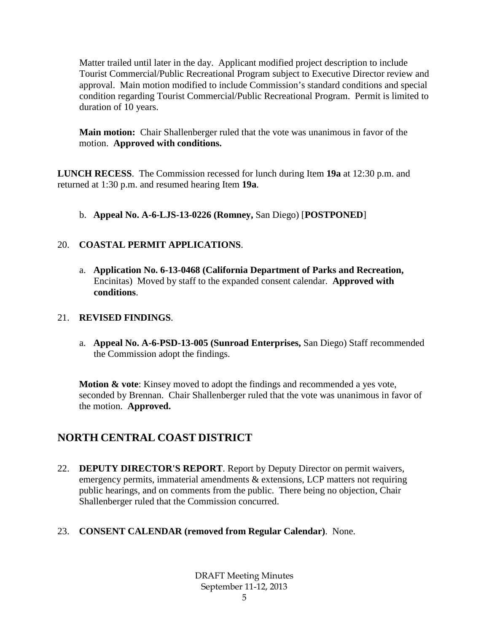Matter trailed until later in the day. Applicant modified project description to include Tourist Commercial/Public Recreational Program subject to Executive Director review and approval. Main motion modified to include Commission's standard conditions and special condition regarding Tourist Commercial/Public Recreational Program. Permit is limited to duration of 10 years.

**Main motion:** Chair Shallenberger ruled that the vote was unanimous in favor of the motion. **Approved with conditions.**

**LUNCH RECESS**. The Commission recessed for lunch during Item **19a** at 12:30 p.m. and returned at 1:30 p.m. and resumed hearing Item **19a**.

b. **Appeal No. A-6-LJS-13-0226 (Romney,** San Diego) [**POSTPONED**]

## 20. **COASTAL PERMIT APPLICATIONS**.

a. **Application No. 6-13-0468 (California Department of Parks and Recreation,**  Encinitas) Moved by staff to the expanded consent calendar. **Approved with conditions**.

#### 21. **REVISED FINDINGS**.

a. **Appeal No. A-6-PSD-13-005 (Sunroad Enterprises,** San Diego) Staff recommended the Commission adopt the findings.

**Motion & vote**: Kinsey moved to adopt the findings and recommended a yes vote, seconded by Brennan. Chair Shallenberger ruled that the vote was unanimous in favor of the motion. **Approved.**

## **NORTH CENTRAL COAST DISTRICT**

- 22. **DEPUTY DIRECTOR'S REPORT**. Report by Deputy Director on permit waivers, emergency permits, immaterial amendments & extensions, LCP matters not requiring public hearings, and on comments from the public. There being no objection, Chair Shallenberger ruled that the Commission concurred.
- 23. **CONSENT CALENDAR (removed from Regular Calendar)**. None.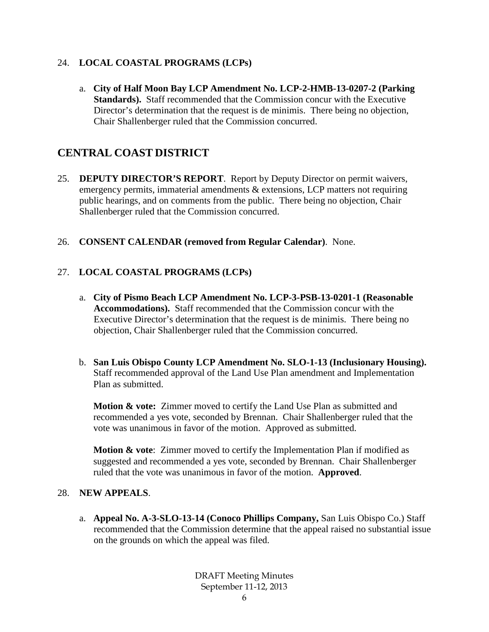## 24. **LOCAL COASTAL PROGRAMS (LCPs)**

a. **City of Half Moon Bay LCP Amendment No. LCP-2-HMB-13-0207-2 (Parking Standards).** Staff recommended that the Commission concur with the Executive Director's determination that the request is de minimis. There being no objection, Chair Shallenberger ruled that the Commission concurred.

## **CENTRAL COAST DISTRICT**

- 25. **DEPUTY DIRECTOR'S REPORT**. Report by Deputy Director on permit waivers, emergency permits, immaterial amendments & extensions, LCP matters not requiring public hearings, and on comments from the public. There being no objection, Chair Shallenberger ruled that the Commission concurred.
- 26. **CONSENT CALENDAR (removed from Regular Calendar)**. None.

## 27. **LOCAL COASTAL PROGRAMS (LCPs)**

- a. **City of Pismo Beach LCP Amendment No. LCP-3-PSB-13-0201-1 (Reasonable Accommodations).** Staff recommended that the Commission concur with the Executive Director's determination that the request is de minimis. There being no objection, Chair Shallenberger ruled that the Commission concurred.
- b. **San Luis Obispo County LCP Amendment No. SLO-1-13 (Inclusionary Housing).**  Staff recommended approval of the Land Use Plan amendment and Implementation Plan as submitted.

**Motion & vote:** Zimmer moved to certify the Land Use Plan as submitted and recommended a yes vote, seconded by Brennan. Chair Shallenberger ruled that the vote was unanimous in favor of the motion. Approved as submitted.

**Motion & vote:** Zimmer moved to certify the Implementation Plan if modified as suggested and recommended a yes vote, seconded by Brennan. Chair Shallenberger ruled that the vote was unanimous in favor of the motion. **Approved**.

#### 28. **NEW APPEALS**.

a. **Appeal No. A-3-SLO-13-14 (Conoco Phillips Company,** San Luis Obispo Co.) Staff recommended that the Commission determine that the appeal raised no substantial issue on the grounds on which the appeal was filed.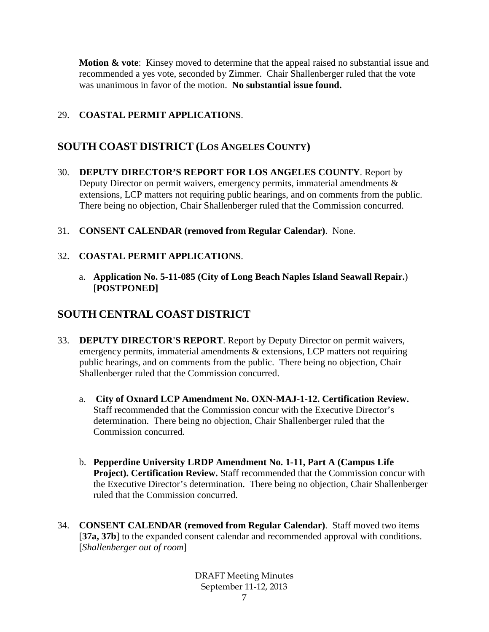**Motion & vote**: Kinsey moved to determine that the appeal raised no substantial issue and recommended a yes vote, seconded by Zimmer. Chair Shallenberger ruled that the vote was unanimous in favor of the motion. **No substantial issue found.**

## 29. **COASTAL PERMIT APPLICATIONS**.

## **SOUTH COAST DISTRICT (LOS ANGELES COUNTY)**

- 30. **DEPUTY DIRECTOR'S REPORT FOR LOS ANGELES COUNTY**. Report by Deputy Director on permit waivers, emergency permits, immaterial amendments & extensions, LCP matters not requiring public hearings, and on comments from the public. There being no objection, Chair Shallenberger ruled that the Commission concurred.
- 31. **CONSENT CALENDAR (removed from Regular Calendar)**. None.

#### 32. **COASTAL PERMIT APPLICATIONS**.

a. **Application No. 5-11-085 (City of Long Beach Naples Island Seawall Repair.**) **[POSTPONED]**

## **SOUTH CENTRAL COAST DISTRICT**

- 33. **DEPUTY DIRECTOR'S REPORT**. Report by Deputy Director on permit waivers, emergency permits, immaterial amendments & extensions, LCP matters not requiring public hearings, and on comments from the public. There being no objection, Chair Shallenberger ruled that the Commission concurred.
	- a. **City of Oxnard LCP Amendment No. OXN-MAJ-1-12. Certification Review.** Staff recommended that the Commission concur with the Executive Director's determination. There being no objection, Chair Shallenberger ruled that the Commission concurred.
	- b. **Pepperdine University LRDP Amendment No. 1-11, Part A (Campus Life Project). Certification Review.** Staff recommended that the Commission concur with the Executive Director's determination. There being no objection, Chair Shallenberger ruled that the Commission concurred.
- 34. **CONSENT CALENDAR (removed from Regular Calendar)**. Staff moved two items [37a, 37b] to the expanded consent calendar and recommended approval with conditions. [*Shallenberger out of room*]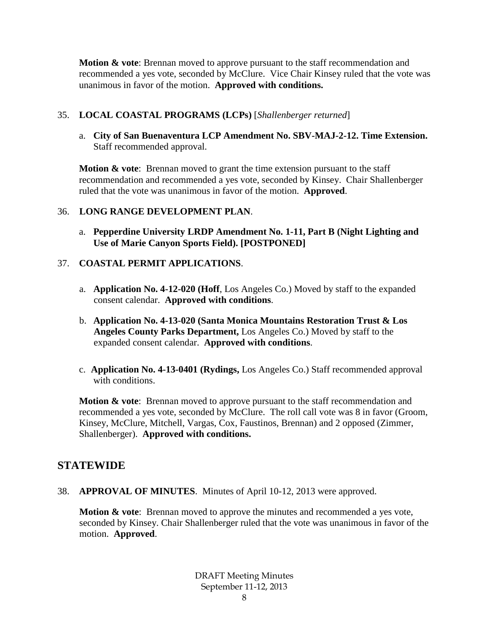**Motion & vote**: Brennan moved to approve pursuant to the staff recommendation and recommended a yes vote, seconded by McClure. Vice Chair Kinsey ruled that the vote was unanimous in favor of the motion. **Approved with conditions.**

#### 35. **LOCAL COASTAL PROGRAMS (LCPs)** [*Shallenberger returned*]

a. **City of San Buenaventura LCP Amendment No. SBV-MAJ-2-12. Time Extension.**  Staff recommended approval.

**Motion & vote:** Brennan moved to grant the time extension pursuant to the staff recommendation and recommended a yes vote, seconded by Kinsey. Chair Shallenberger ruled that the vote was unanimous in favor of the motion. **Approved**.

## 36. **LONG RANGE DEVELOPMENT PLAN**.

a. **Pepperdine University LRDP Amendment No. 1-11, Part B (Night Lighting and Use of Marie Canyon Sports Field). [POSTPONED]**

## 37. **COASTAL PERMIT APPLICATIONS**.

- a. **Application No. 4-12-020 (Hoff**, Los Angeles Co.) Moved by staff to the expanded consent calendar. **Approved with conditions**.
- b. **Application No. 4-13-020 (Santa Monica Mountains Restoration Trust & Los Angeles County Parks Department,** Los Angeles Co.) Moved by staff to the expanded consent calendar. **Approved with conditions**.
- c. **Application No. 4-13-0401 (Rydings,** Los Angeles Co.) Staff recommended approval with conditions.

**Motion & vote:** Brennan moved to approve pursuant to the staff recommendation and recommended a yes vote, seconded by McClure. The roll call vote was 8 in favor (Groom, Kinsey, McClure, Mitchell, Vargas, Cox, Faustinos, Brennan) and 2 opposed (Zimmer, Shallenberger). **Approved with conditions.**

## **STATEWIDE**

38. **APPROVAL OF MINUTES**. Minutes of April 10-12, 2013 were approved.

**Motion & vote**: Brennan moved to approve the minutes and recommended a yes vote, seconded by Kinsey. Chair Shallenberger ruled that the vote was unanimous in favor of the motion. **Approved**.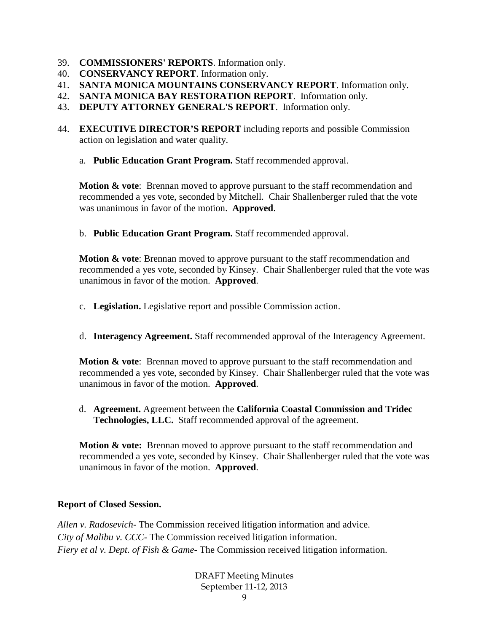- 39. **COMMISSIONERS' REPORTS**. Information only.
- 40. **CONSERVANCY REPORT**. Information only.
- 41. **SANTA MONICA MOUNTAINS CONSERVANCY REPORT**. Information only.
- 42. **SANTA MONICA BAY RESTORATION REPORT**. Information only.
- 43. **DEPUTY ATTORNEY GENERAL'S REPORT**. Information only.
- 44. **EXECUTIVE DIRECTOR'S REPORT** including reports and possible Commission action on legislation and water quality.
	- a. **Public Education Grant Program.** Staff recommended approval.

**Motion & vote:** Brennan moved to approve pursuant to the staff recommendation and recommended a yes vote, seconded by Mitchell. Chair Shallenberger ruled that the vote was unanimous in favor of the motion. **Approved**.

b. **Public Education Grant Program.** Staff recommended approval.

**Motion & vote:** Brennan moved to approve pursuant to the staff recommendation and recommended a yes vote, seconded by Kinsey. Chair Shallenberger ruled that the vote was unanimous in favor of the motion. **Approved**.

- c. **Legislation.** Legislative report and possible Commission action.
- d. **Interagency Agreement.** Staff recommended approval of the Interagency Agreement.

**Motion & vote**: Brennan moved to approve pursuant to the staff recommendation and recommended a yes vote, seconded by Kinsey. Chair Shallenberger ruled that the vote was unanimous in favor of the motion. **Approved**.

d. **Agreement.** Agreement between the **California Coastal Commission and Tridec Technologies, LLC.** Staff recommended approval of the agreement.

**Motion & vote:** Brennan moved to approve pursuant to the staff recommendation and recommended a yes vote, seconded by Kinsey. Chair Shallenberger ruled that the vote was unanimous in favor of the motion. **Approved**.

#### **Report of Closed Session.**

*Allen v. Radosevich*- The Commission received litigation information and advice. *City of Malibu v. CCC*- The Commission received litigation information. *Fiery et al v. Dept. of Fish & Game*- The Commission received litigation information.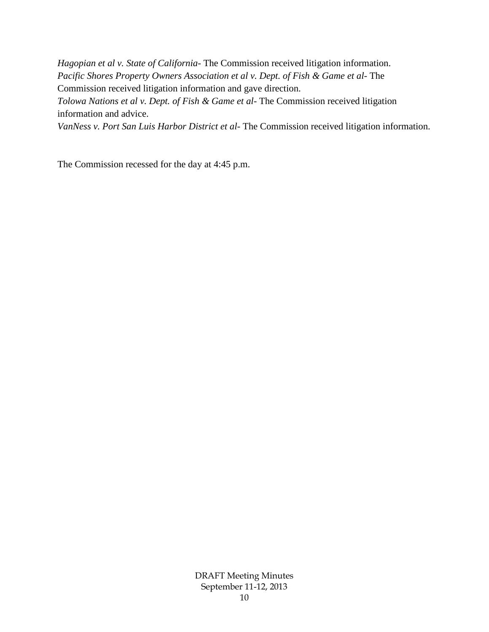*Hagopian et al v. State of California*- The Commission received litigation information. *Pacific Shores Property Owners Association et al v. Dept. of Fish & Game et al*- The Commission received litigation information and gave direction. *Tolowa Nations et al v. Dept. of Fish & Game et al*- The Commission received litigation

information and advice.

*VanNess v. Port San Luis Harbor District et al*- The Commission received litigation information.

The Commission recessed for the day at 4:45 p.m.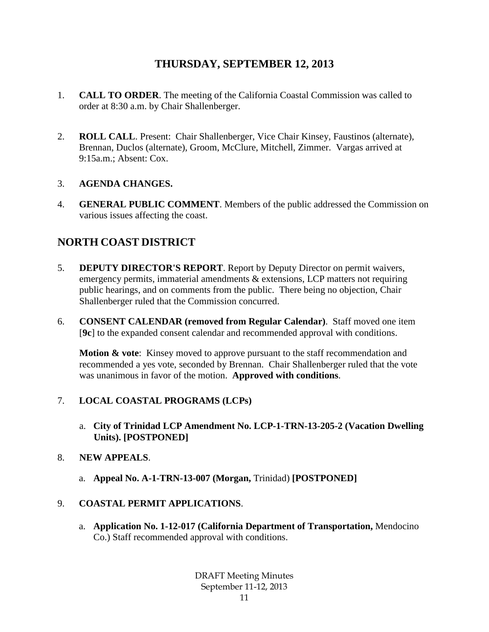## **THURSDAY, SEPTEMBER 12, 2013**

- 1. **CALL TO ORDER**. The meeting of the California Coastal Commission was called to order at 8:30 a.m. by Chair Shallenberger.
- 2. **ROLL CALL**. Present: Chair Shallenberger, Vice Chair Kinsey, Faustinos (alternate), Brennan, Duclos (alternate), Groom, McClure, Mitchell, Zimmer. Vargas arrived at 9:15a.m.; Absent: Cox.

## 3. **AGENDA CHANGES.**

4. **GENERAL PUBLIC COMMENT**. Members of the public addressed the Commission on various issues affecting the coast.

## **NORTH COAST DISTRICT**

- 5. **DEPUTY DIRECTOR'S REPORT**. Report by Deputy Director on permit waivers, emergency permits, immaterial amendments & extensions, LCP matters not requiring public hearings, and on comments from the public. There being no objection, Chair Shallenberger ruled that the Commission concurred.
- 6. **CONSENT CALENDAR (removed from Regular Calendar)**. Staff moved one item [**9c**] to the expanded consent calendar and recommended approval with conditions.

**Motion & vote**: Kinsey moved to approve pursuant to the staff recommendation and recommended a yes vote, seconded by Brennan. Chair Shallenberger ruled that the vote was unanimous in favor of the motion. **Approved with conditions**.

## 7. **LOCAL COASTAL PROGRAMS (LCPs)**

a. **City of Trinidad LCP Amendment No. LCP-1-TRN-13-205-2 (Vacation Dwelling Units). [POSTPONED]**

#### 8. **NEW APPEALS**.

a. **Appeal No. A-1-TRN-13-007 (Morgan,** Trinidad) **[POSTPONED]**

## 9. **COASTAL PERMIT APPLICATIONS**.

a. **Application No. 1-12-017 (California Department of Transportation,** Mendocino Co.) Staff recommended approval with conditions.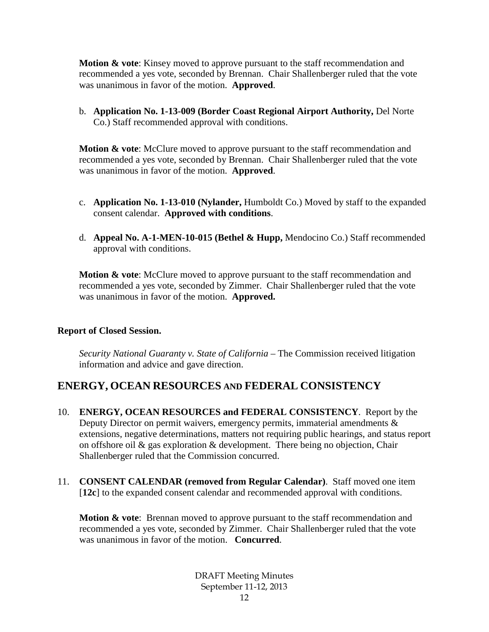**Motion & vote:** Kinsey moved to approve pursuant to the staff recommendation and recommended a yes vote, seconded by Brennan. Chair Shallenberger ruled that the vote was unanimous in favor of the motion. **Approved**.

b. **Application No. 1-13-009 (Border Coast Regional Airport Authority,** Del Norte Co.) Staff recommended approval with conditions.

**Motion & vote:** McClure moved to approve pursuant to the staff recommendation and recommended a yes vote, seconded by Brennan. Chair Shallenberger ruled that the vote was unanimous in favor of the motion. **Approved**.

- c. **Application No. 1-13-010 (Nylander,** Humboldt Co.) Moved by staff to the expanded consent calendar. **Approved with conditions**.
- d. **Appeal No. A-1-MEN-10-015 (Bethel & Hupp,** Mendocino Co.) Staff recommended approval with conditions.

**Motion & vote:** McClure moved to approve pursuant to the staff recommendation and recommended a yes vote, seconded by Zimmer. Chair Shallenberger ruled that the vote was unanimous in favor of the motion. **Approved.**

#### **Report of Closed Session.**

*Security National Guaranty v. State of California* – The Commission received litigation information and advice and gave direction.

## **ENERGY, OCEAN RESOURCES AND FEDERAL CONSISTENCY**

- 10. **ENERGY, OCEAN RESOURCES and FEDERAL CONSISTENCY**. Report by the Deputy Director on permit waivers, emergency permits, immaterial amendments & extensions, negative determinations, matters not requiring public hearings, and status report on offshore oil  $\&$  gas exploration  $\&$  development. There being no objection, Chair Shallenberger ruled that the Commission concurred.
- 11. **CONSENT CALENDAR (removed from Regular Calendar)**. Staff moved one item [**12c**] to the expanded consent calendar and recommended approval with conditions.

**Motion & vote:** Brennan moved to approve pursuant to the staff recommendation and recommended a yes vote, seconded by Zimmer. Chair Shallenberger ruled that the vote was unanimous in favor of the motion. **Concurred**.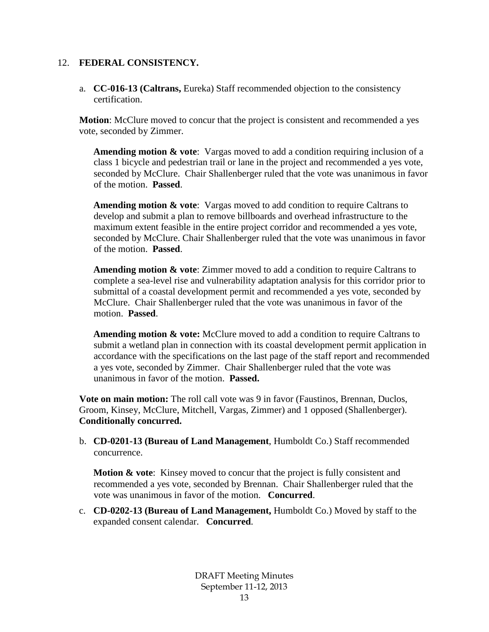#### 12. **FEDERAL CONSISTENCY.**

a. **CC-016-13 (Caltrans,** Eureka) Staff recommended objection to the consistency certification.

**Motion**: McClure moved to concur that the project is consistent and recommended a yes vote, seconded by Zimmer.

**Amending motion & vote**: Vargas moved to add a condition requiring inclusion of a class 1 bicycle and pedestrian trail or lane in the project and recommended a yes vote, seconded by McClure. Chair Shallenberger ruled that the vote was unanimous in favor of the motion. **Passed**.

**Amending motion & vote**: Vargas moved to add condition to require Caltrans to develop and submit a plan to remove billboards and overhead infrastructure to the maximum extent feasible in the entire project corridor and recommended a yes vote, seconded by McClure. Chair Shallenberger ruled that the vote was unanimous in favor of the motion. **Passed**.

**Amending motion & vote**: Zimmer moved to add a condition to require Caltrans to complete a sea-level rise and vulnerability adaptation analysis for this corridor prior to submittal of a coastal development permit and recommended a yes vote, seconded by McClure. Chair Shallenberger ruled that the vote was unanimous in favor of the motion. **Passed**.

**Amending motion & vote:** McClure moved to add a condition to require Caltrans to submit a wetland plan in connection with its coastal development permit application in accordance with the specifications on the last page of the staff report and recommended a yes vote, seconded by Zimmer. Chair Shallenberger ruled that the vote was unanimous in favor of the motion. **Passed.**

**Vote on main motion:** The roll call vote was 9 in favor (Faustinos, Brennan, Duclos, Groom, Kinsey, McClure, Mitchell, Vargas, Zimmer) and 1 opposed (Shallenberger). **Conditionally concurred.**

b. **CD-0201-13 (Bureau of Land Management**, Humboldt Co.) Staff recommended concurrence.

**Motion & vote:** Kinsey moved to concur that the project is fully consistent and recommended a yes vote, seconded by Brennan. Chair Shallenberger ruled that the vote was unanimous in favor of the motion. **Concurred**.

c. **CD-0202-13 (Bureau of Land Management,** Humboldt Co.) Moved by staff to the expanded consent calendar. **Concurred**.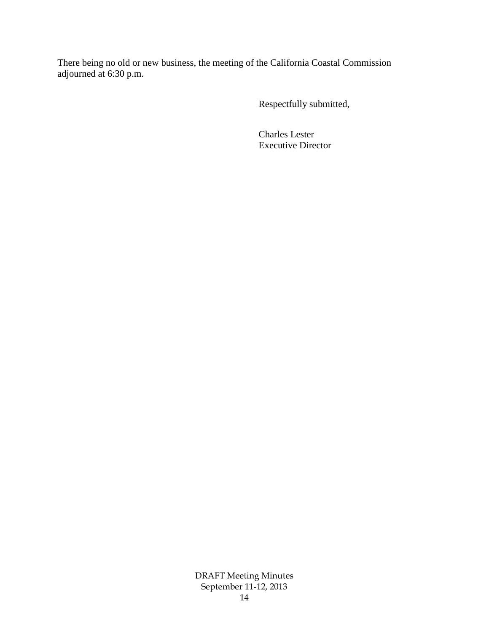There being no old or new business, the meeting of the California Coastal Commission adjourned at 6:30 p.m.

Respectfully submitted,

Charles Lester Executive Director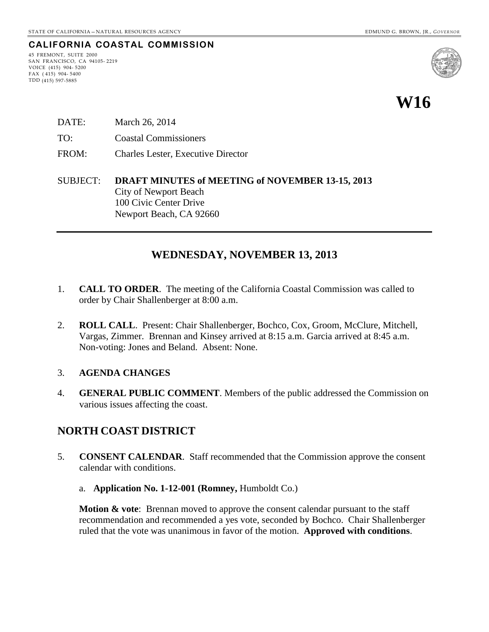#### **CALIFORNIA COASTAL COMMISSION**

45 FREMONT, SUITE 2000 SAN FRANCISCO, CA 94105- 2219 VOICE (415) 904- 5200 FAX ( 415) 904- 5400 TDD (415) 597-5885



- DATE: March 26, 2014 TO: Coastal Commissioners FROM: Charles Lester, Executive Director
- SUBJECT: **DRAFT MINUTES of MEETING of NOVEMBER 13-15, 2013** City of Newport Beach 100 Civic Center Drive Newport Beach, CA 92660

## **WEDNESDAY, NOVEMBER 13, 2013**

- 1. **CALL TO ORDER**. The meeting of the California Coastal Commission was called to order by Chair Shallenberger at 8:00 a.m.
- 2. **ROLL CALL**. Present: Chair Shallenberger, Bochco, Cox, Groom, McClure, Mitchell, Vargas, Zimmer. Brennan and Kinsey arrived at 8:15 a.m. Garcia arrived at 8:45 a.m. Non-voting: Jones and Beland. Absent: None.

#### 3. **AGENDA CHANGES**

4. **GENERAL PUBLIC COMMENT**. Members of the public addressed the Commission on various issues affecting the coast.

## **NORTH COAST DISTRICT**

- 5. **CONSENT CALENDAR**. Staff recommended that the Commission approve the consent calendar with conditions.
	- a. **Application No. 1-12-001 (Romney,** Humboldt Co.)

**Motion & vote:** Brennan moved to approve the consent calendar pursuant to the staff recommendation and recommended a yes vote, seconded by Bochco. Chair Shallenberger ruled that the vote was unanimous in favor of the motion. **Approved with conditions**.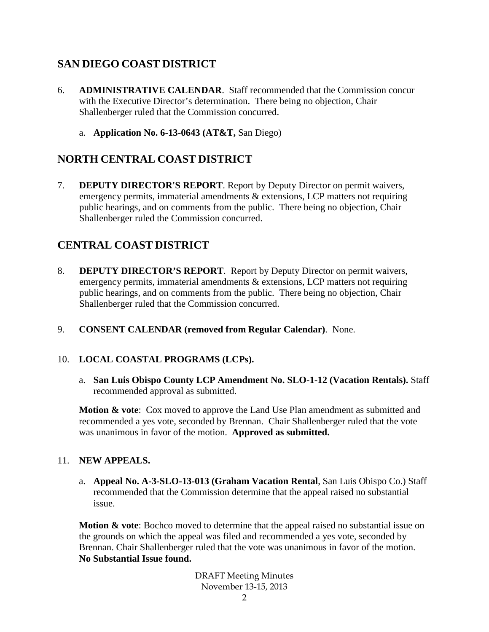## **SAN DIEGO COAST DISTRICT**

- 6. **ADMINISTRATIVE CALENDAR**. Staff recommended that the Commission concur with the Executive Director's determination. There being no objection, Chair Shallenberger ruled that the Commission concurred.
	- a. **Application No. 6-13-0643 (AT&T,** San Diego)

## **NORTH CENTRAL COAST DISTRICT**

7. **DEPUTY DIRECTOR'S REPORT**. Report by Deputy Director on permit waivers, emergency permits, immaterial amendments & extensions, LCP matters not requiring public hearings, and on comments from the public. There being no objection, Chair Shallenberger ruled the Commission concurred.

## **CENTRAL COAST DISTRICT**

- 8. **DEPUTY DIRECTOR'S REPORT**. Report by Deputy Director on permit waivers, emergency permits, immaterial amendments & extensions, LCP matters not requiring public hearings, and on comments from the public. There being no objection, Chair Shallenberger ruled that the Commission concurred.
- 9. **CONSENT CALENDAR (removed from Regular Calendar)**. None.

## 10. **LOCAL COASTAL PROGRAMS (LCPs).**

a. **San Luis Obispo County LCP Amendment No. SLO-1-12 (Vacation Rentals).** Staff recommended approval as submitted.

**Motion & vote:** Cox moved to approve the Land Use Plan amendment as submitted and recommended a yes vote, seconded by Brennan. Chair Shallenberger ruled that the vote was unanimous in favor of the motion. **Approved as submitted.**

#### 11. **NEW APPEALS.**

a. **Appeal No. A-3-SLO-13-013 (Graham Vacation Rental**, San Luis Obispo Co.) Staff recommended that the Commission determine that the appeal raised no substantial issue.

**Motion & vote**: Bochco moved to determine that the appeal raised no substantial issue on the grounds on which the appeal was filed and recommended a yes vote, seconded by Brennan. Chair Shallenberger ruled that the vote was unanimous in favor of the motion. **No Substantial Issue found.**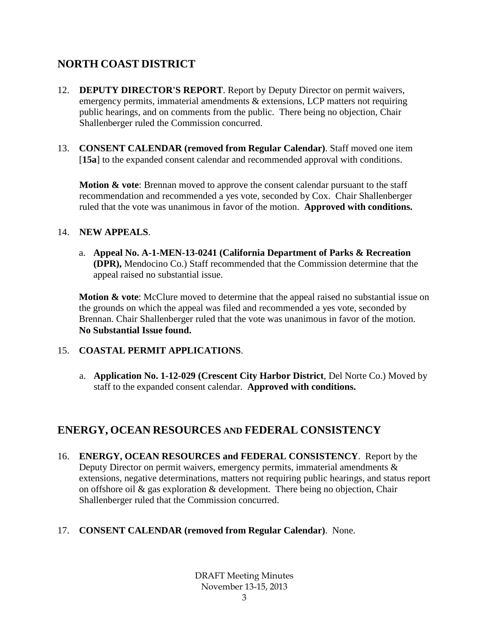## **NORTH COAST DISTRICT**

- 12. **DEPUTY DIRECTOR'S REPORT**. Report by Deputy Director on permit waivers, emergency permits, immaterial amendments & extensions, LCP matters not requiring public hearings, and on comments from the public. There being no objection, Chair Shallenberger ruled the Commission concurred.
- 13. **CONSENT CALENDAR (removed from Regular Calendar)**. Staff moved one item [15a] to the expanded consent calendar and recommended approval with conditions.

**Motion & vote:** Brennan moved to approve the consent calendar pursuant to the staff recommendation and recommended a yes vote, seconded by Cox. Chair Shallenberger ruled that the vote was unanimous in favor of the motion. **Approved with conditions.**

#### 14. **NEW APPEALS**.

a. **Appeal No. A-1-MEN-13-0241 (California Department of Parks & Recreation (DPR),** Mendocino Co.) Staff recommended that the Commission determine that the appeal raised no substantial issue.

**Motion & vote**: McClure moved to determine that the appeal raised no substantial issue on the grounds on which the appeal was filed and recommended a yes vote, seconded by Brennan. Chair Shallenberger ruled that the vote was unanimous in favor of the motion. **No Substantial Issue found.**

#### 15. **COASTAL PERMIT APPLICATIONS**.

a. **Application No. 1-12-029 (Crescent City Harbor District**, Del Norte Co.) Moved by staff to the expanded consent calendar. **Approved with conditions.**

## **ENERGY, OCEAN RESOURCES AND FEDERAL CONSISTENCY**

16. **ENERGY, OCEAN RESOURCES and FEDERAL CONSISTENCY**. Report by the Deputy Director on permit waivers, emergency permits, immaterial amendments  $\&$ extensions, negative determinations, matters not requiring public hearings, and status report on offshore oil & gas exploration & development. There being no objection, Chair Shallenberger ruled that the Commission concurred.

#### 17. **CONSENT CALENDAR (removed from Regular Calendar)**. None.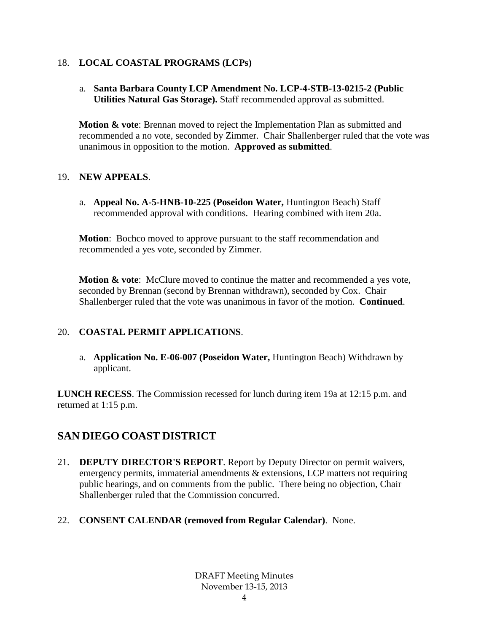#### 18. **LOCAL COASTAL PROGRAMS (LCPs)**

a. **Santa Barbara County LCP Amendment No. LCP-4-STB-13-0215-2 (Public Utilities Natural Gas Storage).** Staff recommended approval as submitted.

**Motion & vote**: Brennan moved to reject the Implementation Plan as submitted and recommended a no vote, seconded by Zimmer. Chair Shallenberger ruled that the vote was unanimous in opposition to the motion. **Approved as submitted**.

#### 19. **NEW APPEALS**.

a. **Appeal No. A-5-HNB-10-225 (Poseidon Water,** Huntington Beach) Staff recommended approval with conditions. Hearing combined with item 20a.

**Motion**: Bochco moved to approve pursuant to the staff recommendation and recommended a yes vote, seconded by Zimmer.

**Motion & vote**: McClure moved to continue the matter and recommended a yes vote, seconded by Brennan (second by Brennan withdrawn), seconded by Cox. Chair Shallenberger ruled that the vote was unanimous in favor of the motion. **Continued**.

## 20. **COASTAL PERMIT APPLICATIONS**.

a. **Application No. E-06-007 (Poseidon Water,** Huntington Beach) Withdrawn by applicant.

**LUNCH RECESS**. The Commission recessed for lunch during item 19a at 12:15 p.m. and returned at 1:15 p.m.

## **SAN DIEGO COAST DISTRICT**

- 21. **DEPUTY DIRECTOR'S REPORT**. Report by Deputy Director on permit waivers, emergency permits, immaterial amendments & extensions, LCP matters not requiring public hearings, and on comments from the public. There being no objection, Chair Shallenberger ruled that the Commission concurred.
- 22. **CONSENT CALENDAR (removed from Regular Calendar)**. None.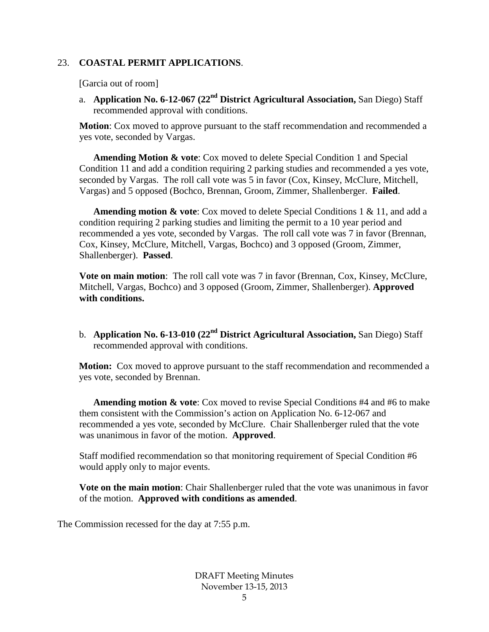#### 23. **COASTAL PERMIT APPLICATIONS**.

[Garcia out of room]

a. **Application No. 6-12-067 (22nd District Agricultural Association,** San Diego) Staff recommended approval with conditions.

**Motion**: Cox moved to approve pursuant to the staff recommendation and recommended a yes vote, seconded by Vargas.

**Amending Motion & vote**: Cox moved to delete Special Condition 1 and Special Condition 11 and add a condition requiring 2 parking studies and recommended a yes vote, seconded by Vargas. The roll call vote was 5 in favor (Cox, Kinsey, McClure, Mitchell, Vargas) and 5 opposed (Bochco, Brennan, Groom, Zimmer, Shallenberger. **Failed**.

**Amending motion & vote**: Cox moved to delete Special Conditions 1 & 11, and add a condition requiring 2 parking studies and limiting the permit to a 10 year period and recommended a yes vote, seconded by Vargas. The roll call vote was 7 in favor (Brennan, Cox, Kinsey, McClure, Mitchell, Vargas, Bochco) and 3 opposed (Groom, Zimmer, Shallenberger). **Passed**.

**Vote on main motion**: The roll call vote was 7 in favor (Brennan, Cox, Kinsey, McClure, Mitchell, Vargas, Bochco) and 3 opposed (Groom, Zimmer, Shallenberger). **Approved with conditions.**

b. **Application No. 6-13-010 (22nd District Agricultural Association,** San Diego) Staff recommended approval with conditions.

**Motion:** Cox moved to approve pursuant to the staff recommendation and recommended a yes vote, seconded by Brennan.

**Amending motion & vote**: Cox moved to revise Special Conditions #4 and #6 to make them consistent with the Commission's action on Application No. 6-12-067 and recommended a yes vote, seconded by McClure. Chair Shallenberger ruled that the vote was unanimous in favor of the motion. **Approved**.

Staff modified recommendation so that monitoring requirement of Special Condition #6 would apply only to major events.

**Vote on the main motion**: Chair Shallenberger ruled that the vote was unanimous in favor of the motion. **Approved with conditions as amended**.

The Commission recessed for the day at 7:55 p.m.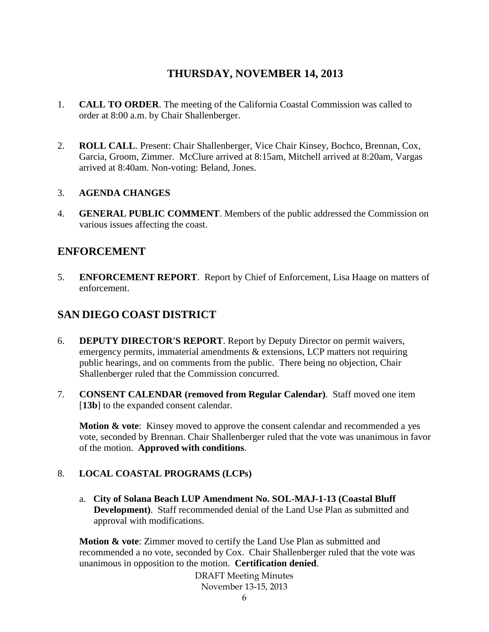## **THURSDAY, NOVEMBER 14, 2013**

- 1. **CALL TO ORDER**. The meeting of the California Coastal Commission was called to order at 8:00 a.m. by Chair Shallenberger.
- 2. **ROLL CALL**. Present: Chair Shallenberger, Vice Chair Kinsey, Bochco, Brennan, Cox, Garcia, Groom, Zimmer. McClure arrived at 8:15am, Mitchell arrived at 8:20am, Vargas arrived at 8:40am. Non-voting: Beland, Jones.

#### 3. **AGENDA CHANGES**

4. **GENERAL PUBLIC COMMENT**. Members of the public addressed the Commission on various issues affecting the coast.

## **ENFORCEMENT**

5. **ENFORCEMENT REPORT**. Report by Chief of Enforcement, Lisa Haage on matters of enforcement.

## **SAN DIEGO COAST DISTRICT**

- 6. **DEPUTY DIRECTOR'S REPORT**. Report by Deputy Director on permit waivers, emergency permits, immaterial amendments & extensions, LCP matters not requiring public hearings, and on comments from the public. There being no objection, Chair Shallenberger ruled that the Commission concurred.
- 7. **CONSENT CALENDAR (removed from Regular Calendar)**. Staff moved one item [13b] to the expanded consent calendar.

**Motion & vote**: Kinsey moved to approve the consent calendar and recommended a yes vote, seconded by Brennan. Chair Shallenberger ruled that the vote was unanimous in favor of the motion. **Approved with conditions**.

#### 8. **LOCAL COASTAL PROGRAMS (LCPs)**

a. **City of Solana Beach LUP Amendment No. SOL-MAJ-1-13 (Coastal Bluff Development)**. Staff recommended denial of the Land Use Plan as submitted and approval with modifications.

**Motion & vote**: Zimmer moved to certify the Land Use Plan as submitted and recommended a no vote, seconded by Cox. Chair Shallenberger ruled that the vote was unanimous in opposition to the motion. **Certification denied**.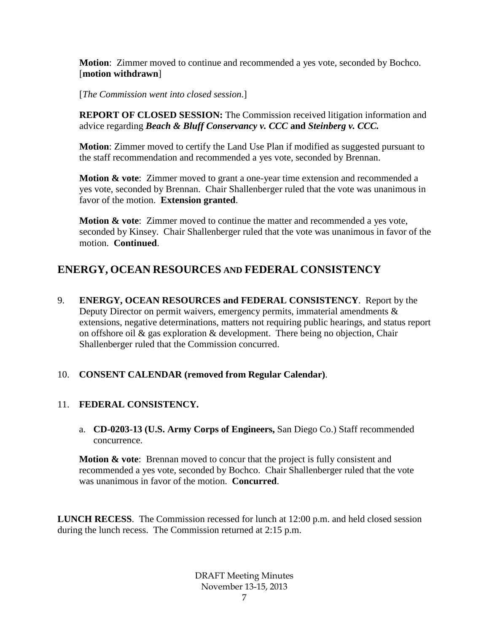**Motion**: Zimmer moved to continue and recommended a yes vote, seconded by Bochco. [**motion withdrawn**]

[*The Commission went into closed session*.]

**REPORT OF CLOSED SESSION:** The Commission received litigation information and advice regarding *Beach & Bluff Conservancy v. CCC* **and** *Steinberg v. CCC.*

**Motion**: Zimmer moved to certify the Land Use Plan if modified as suggested pursuant to the staff recommendation and recommended a yes vote, seconded by Brennan.

**Motion & vote:** Zimmer moved to grant a one-year time extension and recommended a yes vote, seconded by Brennan. Chair Shallenberger ruled that the vote was unanimous in favor of the motion. **Extension granted**.

**Motion & vote**: Zimmer moved to continue the matter and recommended a yes vote, seconded by Kinsey. Chair Shallenberger ruled that the vote was unanimous in favor of the motion. **Continued**.

## **ENERGY, OCEAN RESOURCES AND FEDERAL CONSISTENCY**

9. **ENERGY, OCEAN RESOURCES and FEDERAL CONSISTENCY**. Report by the Deputy Director on permit waivers, emergency permits, immaterial amendments  $\&$ extensions, negative determinations, matters not requiring public hearings, and status report on offshore oil & gas exploration & development. There being no objection, Chair Shallenberger ruled that the Commission concurred.

#### 10. **CONSENT CALENDAR (removed from Regular Calendar)**.

#### 11. **FEDERAL CONSISTENCY.**

a. **CD-0203-13 (U.S. Army Corps of Engineers,** San Diego Co.) Staff recommended concurrence.

**Motion & vote:** Brennan moved to concur that the project is fully consistent and recommended a yes vote, seconded by Bochco. Chair Shallenberger ruled that the vote was unanimous in favor of the motion. **Concurred**.

**LUNCH RECESS**. The Commission recessed for lunch at 12:00 p.m. and held closed session during the lunch recess. The Commission returned at 2:15 p.m.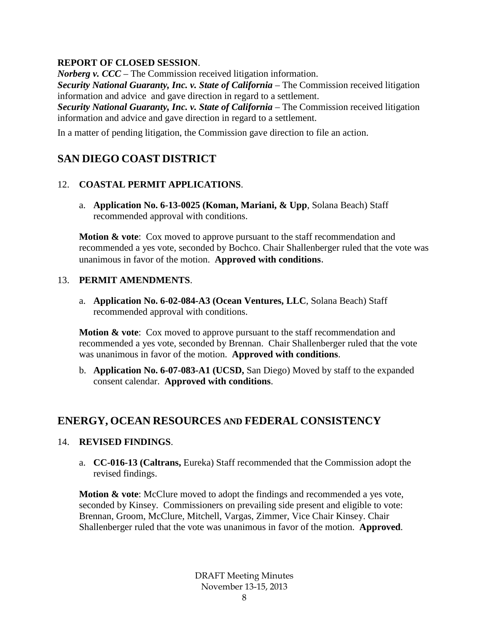#### **REPORT OF CLOSED SESSION**.

*Norberg v. CCC* – The Commission received litigation information.

*Security National Guaranty, Inc. v. State of California* – The Commission received litigation information and advice and gave direction in regard to a settlement.

*Security National Guaranty, Inc. v. State of California* – The Commission received litigation information and advice and gave direction in regard to a settlement.

In a matter of pending litigation, the Commission gave direction to file an action.

## **SAN DIEGO COAST DISTRICT**

## 12. **COASTAL PERMIT APPLICATIONS**.

a. **Application No. 6-13-0025 (Koman, Mariani, & Upp**, Solana Beach) Staff recommended approval with conditions.

**Motion & vote:** Cox moved to approve pursuant to the staff recommendation and recommended a yes vote, seconded by Bochco. Chair Shallenberger ruled that the vote was unanimous in favor of the motion. **Approved with conditions**.

#### 13. **PERMIT AMENDMENTS**.

a. **Application No. 6-02-084-A3 (Ocean Ventures, LLC**, Solana Beach) Staff recommended approval with conditions.

**Motion & vote**: Cox moved to approve pursuant to the staff recommendation and recommended a yes vote, seconded by Brennan. Chair Shallenberger ruled that the vote was unanimous in favor of the motion. **Approved with conditions**.

b. **Application No. 6-07-083-A1 (UCSD,** San Diego) Moved by staff to the expanded consent calendar. **Approved with conditions**.

## **ENERGY, OCEAN RESOURCES AND FEDERAL CONSISTENCY**

#### 14. **REVISED FINDINGS**.

a. **CC-016-13 (Caltrans,** Eureka) Staff recommended that the Commission adopt the revised findings.

**Motion & vote**: McClure moved to adopt the findings and recommended a yes vote, seconded by Kinsey. Commissioners on prevailing side present and eligible to vote: Brennan, Groom, McClure, Mitchell, Vargas, Zimmer, Vice Chair Kinsey. Chair Shallenberger ruled that the vote was unanimous in favor of the motion. **Approved**.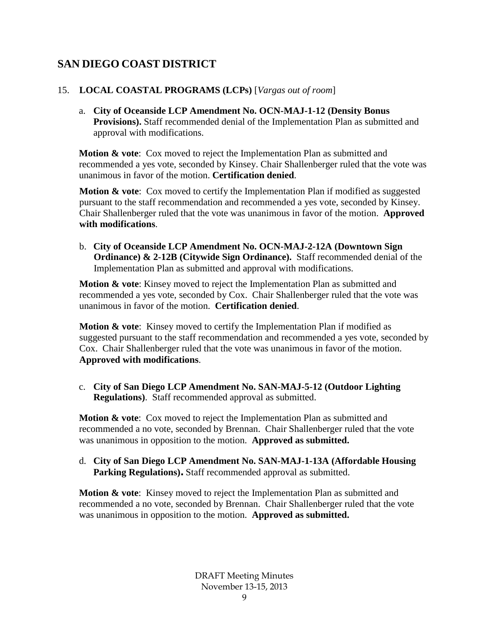## **SAN DIEGO COAST DISTRICT**

## 15. **LOCAL COASTAL PROGRAMS (LCPs)** [*Vargas out of room*]

a. **City of Oceanside LCP Amendment No. OCN-MAJ-1-12 (Density Bonus Provisions).** Staff recommended denial of the Implementation Plan as submitted and approval with modifications.

**Motion & vote:** Cox moved to reject the Implementation Plan as submitted and recommended a yes vote, seconded by Kinsey. Chair Shallenberger ruled that the vote was unanimous in favor of the motion. **Certification denied**.

**Motion & vote:** Cox moved to certify the Implementation Plan if modified as suggested pursuant to the staff recommendation and recommended a yes vote, seconded by Kinsey. Chair Shallenberger ruled that the vote was unanimous in favor of the motion. **Approved with modifications**.

b. **City of Oceanside LCP Amendment No. OCN-MAJ-2-12A (Downtown Sign Ordinance) & 2-12B (Citywide Sign Ordinance).** Staff recommended denial of the Implementation Plan as submitted and approval with modifications.

**Motion & vote**: Kinsey moved to reject the Implementation Plan as submitted and recommended a yes vote, seconded by Cox. Chair Shallenberger ruled that the vote was unanimous in favor of the motion. **Certification denied**.

**Motion & vote**: Kinsey moved to certify the Implementation Plan if modified as suggested pursuant to the staff recommendation and recommended a yes vote, seconded by Cox. Chair Shallenberger ruled that the vote was unanimous in favor of the motion. **Approved with modifications**.

c. **City of San Diego LCP Amendment No. SAN-MAJ-5-12 (Outdoor Lighting Regulations)**. Staff recommended approval as submitted.

**Motion & vote**: Cox moved to reject the Implementation Plan as submitted and recommended a no vote, seconded by Brennan. Chair Shallenberger ruled that the vote was unanimous in opposition to the motion. **Approved as submitted.**

d. **City of San Diego LCP Amendment No. SAN-MAJ-1-13A (Affordable Housing Parking Regulations).** Staff recommended approval as submitted.

**Motion & vote**: Kinsey moved to reject the Implementation Plan as submitted and recommended a no vote, seconded by Brennan. Chair Shallenberger ruled that the vote was unanimous in opposition to the motion. **Approved as submitted.**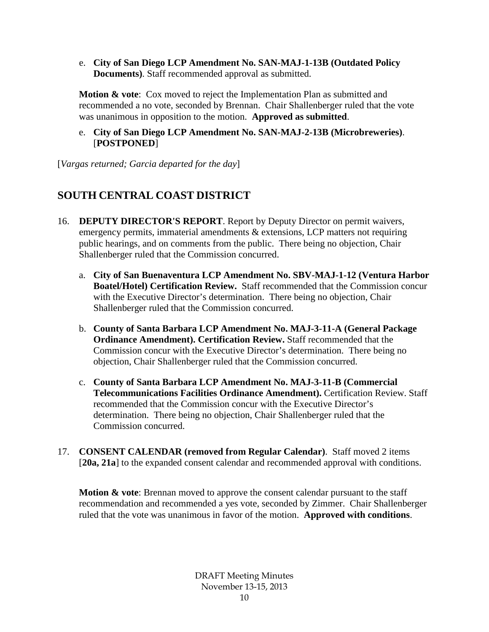e. **City of San Diego LCP Amendment No. SAN-MAJ-1-13B (Outdated Policy Documents)**. Staff recommended approval as submitted.

**Motion & vote:** Cox moved to reject the Implementation Plan as submitted and recommended a no vote, seconded by Brennan. Chair Shallenberger ruled that the vote was unanimous in opposition to the motion. **Approved as submitted**.

e. **City of San Diego LCP Amendment No. SAN-MAJ-2-13B (Microbreweries)**. [**POSTPONED**]

[*Vargas returned; Garcia departed for the day*]

## **SOUTH CENTRAL COAST DISTRICT**

- 16. **DEPUTY DIRECTOR'S REPORT**. Report by Deputy Director on permit waivers, emergency permits, immaterial amendments & extensions, LCP matters not requiring public hearings, and on comments from the public. There being no objection, Chair Shallenberger ruled that the Commission concurred.
	- a. **City of San Buenaventura LCP Amendment No. SBV-MAJ-1-12 (Ventura Harbor Boatel/Hotel) Certification Review.** Staff recommended that the Commission concur with the Executive Director's determination. There being no objection, Chair Shallenberger ruled that the Commission concurred.
	- b. **County of Santa Barbara LCP Amendment No. MAJ-3-11-A (General Package Ordinance Amendment). Certification Review.** Staff recommended that the Commission concur with the Executive Director's determination. There being no objection, Chair Shallenberger ruled that the Commission concurred.
	- c. **County of Santa Barbara LCP Amendment No. MAJ-3-11-B (Commercial Telecommunications Facilities Ordinance Amendment).** Certification Review. Staff recommended that the Commission concur with the Executive Director's determination. There being no objection, Chair Shallenberger ruled that the Commission concurred.
- 17. **CONSENT CALENDAR (removed from Regular Calendar)**. Staff moved 2 items [20a, 21a] to the expanded consent calendar and recommended approval with conditions.

**Motion & vote:** Brennan moved to approve the consent calendar pursuant to the staff recommendation and recommended a yes vote, seconded by Zimmer. Chair Shallenberger ruled that the vote was unanimous in favor of the motion. **Approved with conditions**.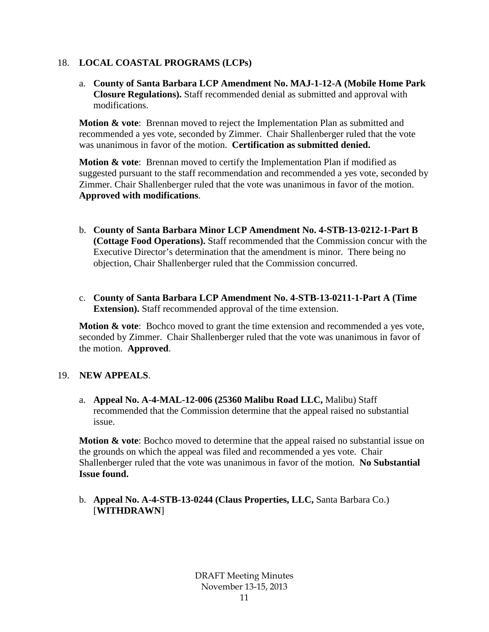#### 18. **LOCAL COASTAL PROGRAMS (LCPs)**

a. **County of Santa Barbara LCP Amendment No. MAJ-1-12-A (Mobile Home Park Closure Regulations).** Staff recommended denial as submitted and approval with modifications.

**Motion & vote**: Brennan moved to reject the Implementation Plan as submitted and recommended a yes vote, seconded by Zimmer. Chair Shallenberger ruled that the vote was unanimous in favor of the motion. **Certification as submitted denied.**

**Motion & vote:** Brennan moved to certify the Implementation Plan if modified as suggested pursuant to the staff recommendation and recommended a yes vote, seconded by Zimmer. Chair Shallenberger ruled that the vote was unanimous in favor of the motion. **Approved with modifications**.

- b. **County of Santa Barbara Minor LCP Amendment No. 4-STB-13-0212-1-Part B (Cottage Food Operations).** Staff recommended that the Commission concur with the Executive Director's determination that the amendment is minor. There being no objection, Chair Shallenberger ruled that the Commission concurred.
- c. **County of Santa Barbara LCP Amendment No. 4-STB-13-0211-1-Part A (Time Extension).** Staff recommended approval of the time extension.

**Motion & vote**: Bochco moved to grant the time extension and recommended a yes vote, seconded by Zimmer. Chair Shallenberger ruled that the vote was unanimous in favor of the motion. **Approved**.

#### 19. **NEW APPEALS**.

a. **Appeal No. A-4-MAL-12-006 (25360 Malibu Road LLC,** Malibu) Staff recommended that the Commission determine that the appeal raised no substantial issue.

**Motion & vote**: Bochco moved to determine that the appeal raised no substantial issue on the grounds on which the appeal was filed and recommended a yes vote. Chair Shallenberger ruled that the vote was unanimous in favor of the motion. **No Substantial Issue found.**

b. **Appeal No. A-4-STB-13-0244 (Claus Properties, LLC,** Santa Barbara Co.) [**WITHDRAWN**]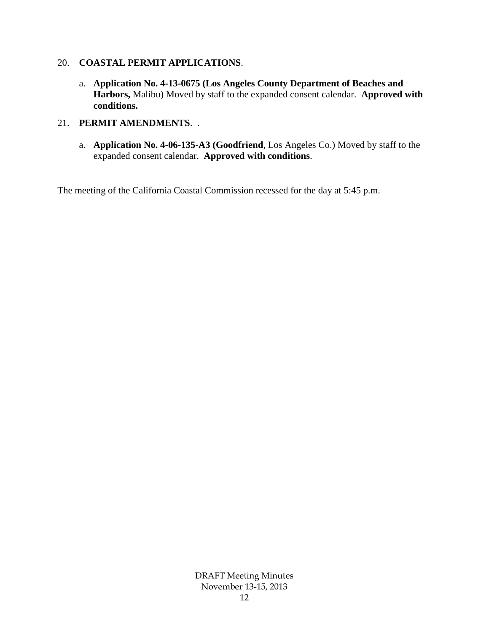#### 20. **COASTAL PERMIT APPLICATIONS**.

a. **Application No. 4-13-0675 (Los Angeles County Department of Beaches and Harbors,** Malibu) Moved by staff to the expanded consent calendar. **Approved with conditions.**

#### 21. **PERMIT AMENDMENTS**. .

a. **Application No. 4-06-135-A3 (Goodfriend**, Los Angeles Co.) Moved by staff to the expanded consent calendar. **Approved with conditions**.

The meeting of the California Coastal Commission recessed for the day at 5:45 p.m.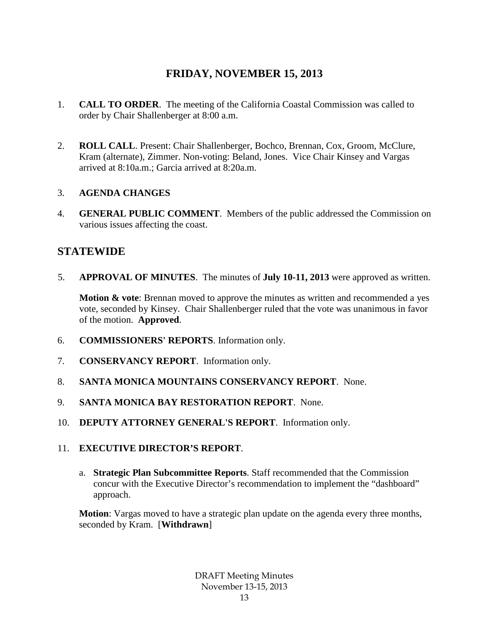## **FRIDAY, NOVEMBER 15, 2013**

- 1. **CALL TO ORDER**. The meeting of the California Coastal Commission was called to order by Chair Shallenberger at 8:00 a.m.
- 2. **ROLL CALL**. Present: Chair Shallenberger, Bochco, Brennan, Cox, Groom, McClure, Kram (alternate), Zimmer. Non-voting: Beland, Jones. Vice Chair Kinsey and Vargas arrived at 8:10a.m.; Garcia arrived at 8:20a.m.

#### 3. **AGENDA CHANGES**

4. **GENERAL PUBLIC COMMENT**. Members of the public addressed the Commission on various issues affecting the coast.

## **STATEWIDE**

5. **APPROVAL OF MINUTES**. The minutes of **July 10-11, 2013** were approved as written.

**Motion & vote:** Brennan moved to approve the minutes as written and recommended a yes vote, seconded by Kinsey. Chair Shallenberger ruled that the vote was unanimous in favor of the motion. **Approved**.

- 6. **COMMISSIONERS' REPORTS**. Information only.
- 7. **CONSERVANCY REPORT**. Information only.
- 8. **SANTA MONICA MOUNTAINS CONSERVANCY REPORT**. None.
- 9. **SANTA MONICA BAY RESTORATION REPORT**. None.
- 10. **DEPUTY ATTORNEY GENERAL'S REPORT**. Information only.
- 11. **EXECUTIVE DIRECTOR'S REPORT**.
	- a. **Strategic Plan Subcommittee Reports**. Staff recommended that the Commission concur with the Executive Director's recommendation to implement the "dashboard" approach.

**Motion**: Vargas moved to have a strategic plan update on the agenda every three months, seconded by Kram. [**Withdrawn**]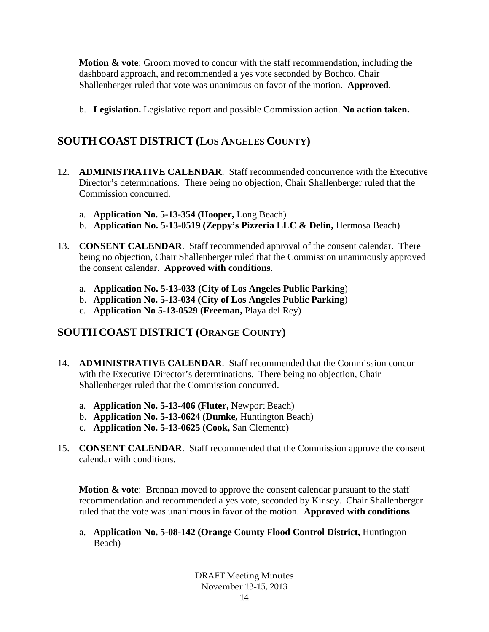**Motion & vote**: Groom moved to concur with the staff recommendation, including the dashboard approach, and recommended a yes vote seconded by Bochco. Chair Shallenberger ruled that vote was unanimous on favor of the motion. **Approved**.

b. **Legislation.** Legislative report and possible Commission action. **No action taken.**

## **SOUTH COAST DISTRICT (LOS ANGELES COUNTY)**

- 12. **ADMINISTRATIVE CALENDAR**. Staff recommended concurrence with the Executive Director's determinations. There being no objection, Chair Shallenberger ruled that the Commission concurred.
	- a. **Application No. 5-13-354 (Hooper,** Long Beach)
	- b. **Application No. 5-13-0519 (Zeppy's Pizzeria LLC & Delin,** Hermosa Beach)
- 13. **CONSENT CALENDAR**. Staff recommended approval of the consent calendar. There being no objection, Chair Shallenberger ruled that the Commission unanimously approved the consent calendar. **Approved with conditions**.
	- a. **Application No. 5-13-033 (City of Los Angeles Public Parking**)
	- b. **Application No. 5-13-034 (City of Los Angeles Public Parking**)
	- c. **Application No 5-13-0529 (Freeman,** Playa del Rey)

## **SOUTH COAST DISTRICT (ORANGE COUNTY)**

- 14. **ADMINISTRATIVE CALENDAR**. Staff recommended that the Commission concur with the Executive Director's determinations. There being no objection, Chair Shallenberger ruled that the Commission concurred.
	- a. **Application No. 5-13-406 (Fluter,** Newport Beach)
	- b. **Application No. 5-13-0624 (Dumke,** Huntington Beach)
	- c. **Application No. 5-13-0625 (Cook,** San Clemente)
- 15. **CONSENT CALENDAR**. Staff recommended that the Commission approve the consent calendar with conditions.

**Motion & vote:** Brennan moved to approve the consent calendar pursuant to the staff recommendation and recommended a yes vote, seconded by Kinsey. Chair Shallenberger ruled that the vote was unanimous in favor of the motion. **Approved with conditions**.

a. **Application No. 5-08-142 (Orange County Flood Control District,** Huntington Beach)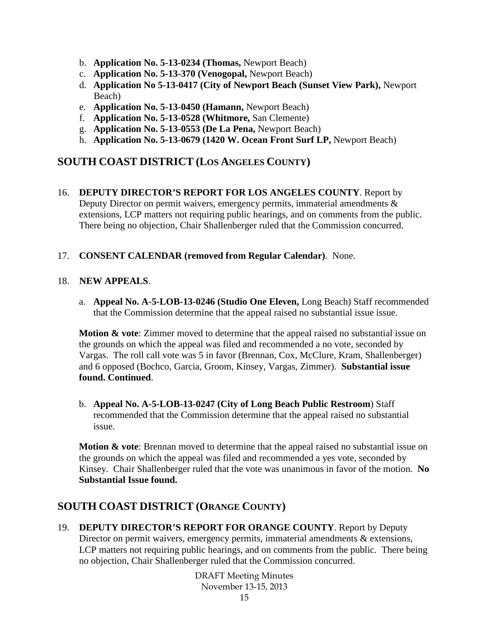- b. **Application No. 5-13-0234 (Thomas,** Newport Beach)
- c. **Application No. 5-13-370 (Venogopal,** Newport Beach)
- d. **Application No 5-13-0417 (City of Newport Beach (Sunset View Park),** Newport Beach)
- e. **Application No. 5-13-0450 (Hamann,** Newport Beach)
- f. **Application No. 5-13-0528 (Whitmore,** San Clemente)
- g. **Application No. 5-13-0553 (De La Pena,** Newport Beach)
- h. **Application No. 5-13-0679 (1420 W. Ocean Front Surf LP,** Newport Beach)

## **SOUTH COAST DISTRICT (LOS ANGELES COUNTY)**

16. **DEPUTY DIRECTOR'S REPORT FOR LOS ANGELES COUNTY**. Report by Deputy Director on permit waivers, emergency permits, immaterial amendments & extensions, LCP matters not requiring public hearings, and on comments from the public. There being no objection, Chair Shallenberger ruled that the Commission concurred.

#### 17. **CONSENT CALENDAR (removed from Regular Calendar)**. None.

#### 18. **NEW APPEALS**.

a. **Appeal No. A-5-LOB-13-0246 (Studio One Eleven,** Long Beach) Staff recommended that the Commission determine that the appeal raised no substantial issue issue.

**Motion & vote**: Zimmer moved to determine that the appeal raised no substantial issue on the grounds on which the appeal was filed and recommended a no vote, seconded by Vargas. The roll call vote was 5 in favor (Brennan, Cox, McClure, Kram, Shallenberger) and 6 opposed (Bochco, Garcia, Groom, Kinsey, Vargas, Zimmer). **Substantial issue found. Continued**.

b. **Appeal No. A-5-LOB-13-0247 (City of Long Beach Public Restroom**) Staff recommended that the Commission determine that the appeal raised no substantial issue.

**Motion & vote**: Brennan moved to determine that the appeal raised no substantial issue on the grounds on which the appeal was filed and recommended a yes vote, seconded by Kinsey. Chair Shallenberger ruled that the vote was unanimous in favor of the motion. **No Substantial Issue found.**

## **SOUTH COAST DISTRICT (ORANGE COUNTY)**

19. **DEPUTY DIRECTOR'S REPORT FOR ORANGE COUNTY**. Report by Deputy Director on permit waivers, emergency permits, immaterial amendments & extensions, LCP matters not requiring public hearings, and on comments from the public. There being no objection, Chair Shallenberger ruled that the Commission concurred.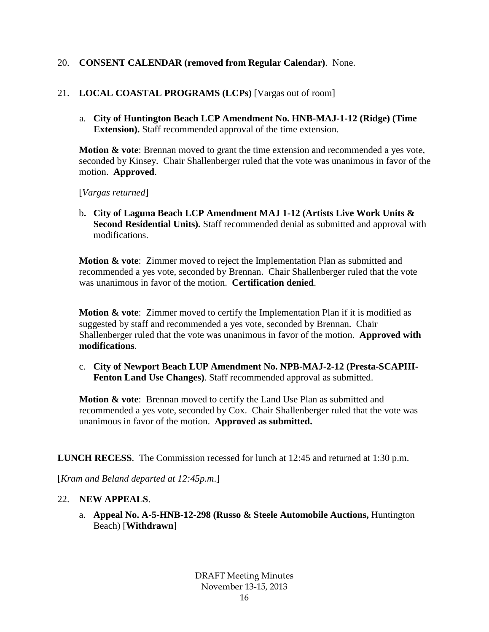#### 20. **CONSENT CALENDAR (removed from Regular Calendar)**. None.

#### 21. **LOCAL COASTAL PROGRAMS (LCPs)** [Vargas out of room]

a. **City of Huntington Beach LCP Amendment No. HNB-MAJ-1-12 (Ridge) (Time Extension).** Staff recommended approval of the time extension.

**Motion & vote**: Brennan moved to grant the time extension and recommended a yes vote, seconded by Kinsey. Chair Shallenberger ruled that the vote was unanimous in favor of the motion. **Approved**.

[*Vargas returned*]

b**. City of Laguna Beach LCP Amendment MAJ 1-12 (Artists Live Work Units & Second Residential Units).** Staff recommended denial as submitted and approval with modifications.

**Motion & vote**: Zimmer moved to reject the Implementation Plan as submitted and recommended a yes vote, seconded by Brennan. Chair Shallenberger ruled that the vote was unanimous in favor of the motion. **Certification denied**.

**Motion & vote**: Zimmer moved to certify the Implementation Plan if it is modified as suggested by staff and recommended a yes vote, seconded by Brennan. Chair Shallenberger ruled that the vote was unanimous in favor of the motion. **Approved with modifications**.

c. **City of Newport Beach LUP Amendment No. NPB-MAJ-2-12 (Presta-SCAPIII-Fenton Land Use Changes)**. Staff recommended approval as submitted.

**Motion & vote**: Brennan moved to certify the Land Use Plan as submitted and recommended a yes vote, seconded by Cox. Chair Shallenberger ruled that the vote was unanimous in favor of the motion. **Approved as submitted.**

**LUNCH RECESS**. The Commission recessed for lunch at 12:45 and returned at 1:30 p.m.

[*Kram and Beland departed at 12:45p.m*.]

#### 22. **NEW APPEALS**.

a. **Appeal No. A-5-HNB-12-298 (Russo & Steele Automobile Auctions,** Huntington Beach) [**Withdrawn**]